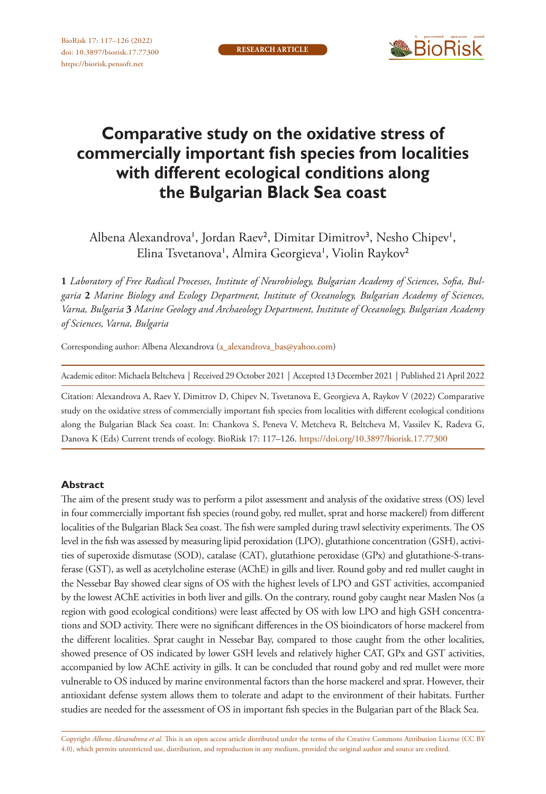

# **Comparative study on the oxidative stress of commercially important fish species from localities with different ecological conditions along the Bulgarian Black Sea coast**

Albena Alexandrova', Jordan Raev<sup>2</sup>, Dimitar Dimitrov<sup>3</sup>, Nesho Chipev<sup>1</sup>, Elina Tsvetanova', Almira Georgieva', Violin Raykov<sup>2</sup>

**1** *Laboratory of Free Radical Processes, Institute of Neurobiology, Bulgarian Academy of Sciences, Sofia, Bulgaria* **2** *Marine Biology and Ecology Department, Institute of Oceanology, Bulgarian Academy of Sciences, Varna, Bulgaria* **3** *Marine Geology and Archaeology Department, Institute of Oceanology, Bulgarian Academy of Sciences, Varna, Bulgaria*

Corresponding author: Albena Alexandrova [\(a\\_alexandrova\\_bas@yahoo.com](mailto:a_alexandrova_bas@yahoo.com))

Academic editor: Michaela Beltcheva | Received 29 October 2021 | Accepted 13 December 2021 | Published 21 April 2022

Citation: Alexandrova A, Raev Y, Dimitrov D, Chipev N, Tsvetanova E, Georgieva A, Raykov V (2022) Comparative study on the oxidative stress of commercially important fish species from localities with different ecological conditions along the Bulgarian Black Sea coast. In: Chankova S, Peneva V, Metcheva R, Beltcheva M, Vassilev K, Radeva G, Danova K (Eds) Current trends of ecology. BioRisk 17: 117–126.<https://doi.org/10.3897/biorisk.17.77300>

#### **Abstract**

The aim of the present study was to perform a pilot assessment and analysis of the oxidative stress (OS) level in four commercially important fish species (round goby, red mullet, sprat and horse mackerel) from different localities of the Bulgarian Black Sea coast. The fish were sampled during trawl selectivity experiments. The OS level in the fish was assessed by measuring lipid peroxidation (LPO), glutathione concentration (GSH), activities of superoxide dismutase (SOD), catalase (CAT), glutathione peroxidase (GPx) and glutathione-S-transferase (GST), as well as acetylcholine esterase (AChE) in gills and liver. Round goby and red mullet caught in the Nessebar Bay showed clear signs of OS with the highest levels of LPO and GST activities, accompanied by the lowest AChE activities in both liver and gills. On the contrary, round goby caught near Maslen Nos (a region with good ecological conditions) were least affected by OS with low LPO and high GSH concentrations and SOD activity. There were no significant differences in the OS bioindicators of horse mackerel from the different localities. Sprat caught in Nessebar Bay, compared to those caught from the other localities, showed presence of OS indicated by lower GSH levels and relatively higher CAT, GPx and GST activities, accompanied by low AChE activity in gills. It can be concluded that round goby and red mullet were more vulnerable to OS induced by marine environmental factors than the horse mackerel and sprat. However, their antioxidant defense system allows them to tolerate and adapt to the environment of their habitats. Further studies are needed for the assessment of OS in important fish species in the Bulgarian part of the Black Sea.

Copyright *Albena Alexandrova et al.* This is an open access article distributed under the terms of the [Creative Commons Attribution License \(CC BY](http://creativecommons.org/licenses/by/4.0/)  [4.0\)](http://creativecommons.org/licenses/by/4.0/), which permits unrestricted use, distribution, and reproduction in any medium, provided the original author and source are credited.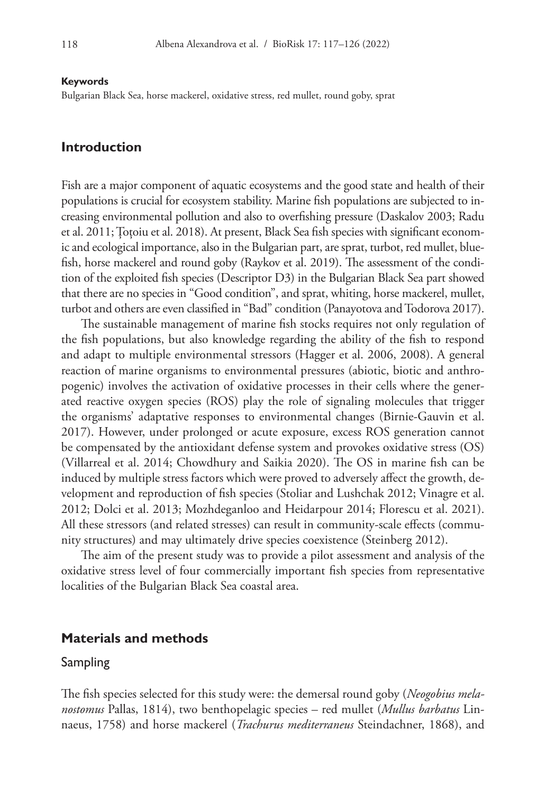#### **Keywords**

Bulgarian Black Sea, horse mackerel, oxidative stress, red mullet, round goby, sprat

## **Introduction**

Fish are a major component of aquatic ecosystems and the good state and health of their populations is crucial for ecosystem stability. Marine fish populations are subjected to increasing environmental pollution and also to overfishing pressure (Daskalov 2003; Radu et al. 2011; Țoțoiu et al. 2018). At present, Black Sea fish species with significant economic and ecological importance, also in the Bulgarian part, are sprat, turbot, red mullet, bluefish, horse mackerel and round goby (Raykov et al. 2019). The assessment of the condition of the exploited fish species (Descriptor D3) in the Bulgarian Black Sea part showed that there are no species in "Good condition", and sprat, whiting, horse mackerel, mullet, turbot and others are even classified in "Bad" condition (Panayotova and Todorova 2017).

The sustainable management of marine fish stocks requires not only regulation of the fish populations, but also knowledge regarding the ability of the fish to respond and adapt to multiple environmental stressors (Hagger et al. 2006, 2008). A general reaction of marine organisms to environmental pressures (abiotic, biotic and anthropogenic) involves the activation of oxidative processes in their cells where the generated reactive oxygen species (ROS) play the role of signaling molecules that trigger the organisms' adaptative responses to environmental changes (Birnie-Gauvin et al. 2017). However, under prolonged or acute exposure, excess ROS generation cannot be compensated by the antioxidant defense system and provokes oxidative stress (OS) (Villarreal et al. 2014; Chowdhury and Saikia 2020). The OS in marine fish can be induced by multiple stress factors which were proved to adversely affect the growth, development and reproduction of fish species (Stoliar and Lushchak 2012; Vinagre et al. 2012; Dolci et al. 2013; Mozhdeganloo and Heidarpour 2014; Florescu et al. 2021). All these stressors (and related stresses) can result in community-scale effects (community structures) and may ultimately drive species coexistence (Steinberg 2012).

The aim of the present study was to provide a pilot assessment and analysis of the oxidative stress level of four commercially important fish species from representative localities of the Bulgarian Black Sea coastal area.

### **Materials and methods**

#### Sampling

The fish species selected for this study were: the demersal round goby (*Neogobius melanostomus* Pallas, 1814), two benthopelagic species – red mullet (*Mullus barbatus* Linnaeus, 1758) and horse mackerel (*Trachurus mediterraneus* Steindachner, 1868), and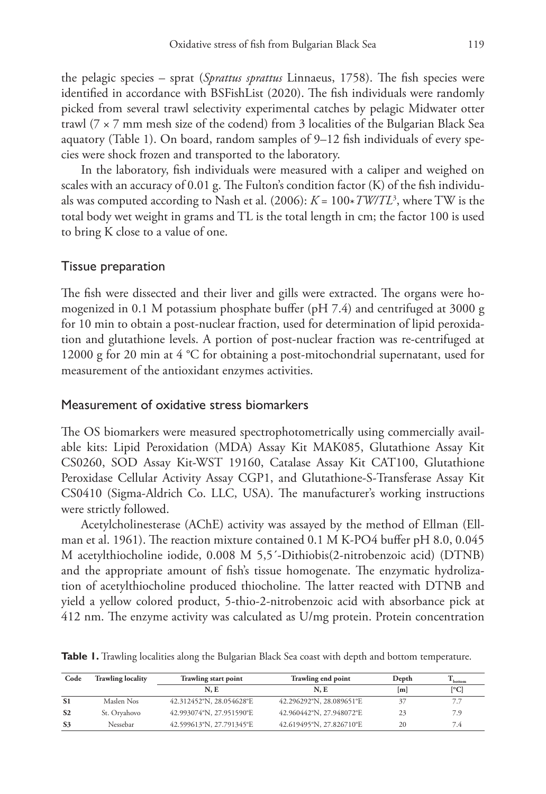the pelagic species – sprat (*Sprattus sprattus* Linnaeus, 1758). The fish species were identified in accordance with BSFishList (2020). The fish individuals were randomly picked from several trawl selectivity experimental catches by pelagic Midwater otter trawl ( $7 \times 7$  mm mesh size of the codend) from 3 localities of the Bulgarian Black Sea aquatory (Table 1). On board, random samples of 9–12 fish individuals of every species were shock frozen and transported to the laboratory.

In the laboratory, fish individuals were measured with a caliper and weighed on scales with an accuracy of 0.01 g. The Fulton's condition factor (K) of the fish individuals was computed according to Nash et al. (2006): *K* = 100\**TW/TL*<sup>3</sup> , where TW is the total body wet weight in grams and TL is the total length in cm; the factor 100 is used to bring K close to a value of one.

#### Tissue preparation

The fish were dissected and their liver and gills were extracted. The organs were homogenized in 0.1 M potassium phosphate buffer (pH 7.4) and centrifuged at 3000 g for 10 min to obtain a post-nuclear fraction, used for determination of lipid peroxidation and glutathione levels. A portion of post-nuclear fraction was re-centrifuged at 12000 g for 20 min at 4 °C for obtaining a post-mitochondrial supernatant, used for measurement of the antioxidant enzymes activities.

#### Measurement of oxidative stress biomarkers

The OS biomarkers were measured spectrophotometrically using commercially available kits: Lipid Peroxidation (MDA) Assay Kit MAK085, Glutathione Assay Kit CS0260, SOD Assay Kit-WST 19160, Catalase Assay Kit CAT100, Glutathione Peroxidase Cellular Activity Assay CGP1, and Glutathione-S-Transferase Assay Kit CS0410 (Sigma-Aldrich Co. LLC, USA). The manufacturer's working instructions were strictly followed.

Acetylcholinesterase (AChE) activity was assayed by the method of Ellman (Ellman et al. 1961). The reaction mixture contained 0.1 M K-PO4 buffer pH 8.0, 0.045 M acetylthiocholine iodide, 0.008 M 5,5´-Dithiobis(2-nitrobenzoic acid) (DTNB) and the appropriate amount of fish's tissue homogenate. The enzymatic hydrolization of acetylthiocholine produced thiocholine. The latter reacted with DTNB and yield a yellow colored product, 5-thio-2-nitrobenzoic acid with absorbance pick at 412 nm. The enzyme activity was calculated as U/mg protein. Protein concentration

|  |  |  |  |  |  |  |  |  |  | <b>Table 1.</b> Trawling localities along the Bulgarian Black Sea coast with depth and bottom temperature. |
|--|--|--|--|--|--|--|--|--|--|------------------------------------------------------------------------------------------------------------|
|--|--|--|--|--|--|--|--|--|--|------------------------------------------------------------------------------------------------------------|

| Code           | <b>Trawling locality</b> | <b>Trawling start point</b> | Trawling end point       | Depth | bottom                   |
|----------------|--------------------------|-----------------------------|--------------------------|-------|--------------------------|
|                |                          | N.E                         | N.E                      | m     | $\lceil$ <sup>o</sup> Cl |
| S <sub>1</sub> | Maslen Nos               | 42.312452°N, 28.054628°E    | 42.296292°N, 28.089651°E | 37    | 7.7                      |
| S <sub>2</sub> | St. Oryahovo             | 42.993074°N, 27.951590°E    | 42.960442°N, 27.948072°E | 23    | 7.9                      |
| S <sub>3</sub> | Nessebar                 | 42.599613°N, 27.791345°E    | 42.619495°N, 27.826710°E | 20    | 7.4                      |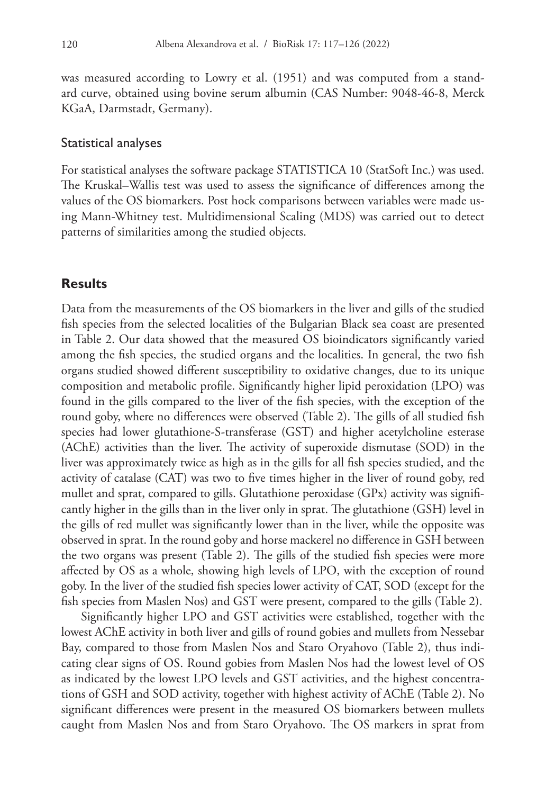was measured according to Lowry et al. (1951) and was computed from a standard curve, obtained using bovine serum albumin (CAS Number: 9048-46-8, Merck KGaA, Darmstadt, Germany).

#### Statistical analyses

For statistical analyses the software package STATISTICA 10 (StatSoft Inc.) was used. The Kruskal–Wallis test was used to assess the significance of differences among the values of the OS biomarkers. Post hock comparisons between variables were made using Mann-Whitney test. Multidimensional Scaling (MDS) was carried out to detect patterns of similarities among the studied objects.

#### **Results**

Data from the measurements of the OS biomarkers in the liver and gills of the studied fish species from the selected localities of the Bulgarian Black sea coast are presented in Table 2. Our data showed that the measured OS bioindicators significantly varied among the fish species, the studied organs and the localities. In general, the two fish organs studied showed different susceptibility to oxidative changes, due to its unique composition and metabolic profile. Significantly higher lipid peroxidation (LPO) was found in the gills compared to the liver of the fish species, with the exception of the round goby, where no differences were observed (Table 2). The gills of all studied fish species had lower glutathione-S-transferase (GST) and higher acetylcholine esterase (AChE) activities than the liver. The activity of superoxide dismutase (SOD) in the liver was approximately twice as high as in the gills for all fish species studied, and the activity of catalase (CAT) was two to five times higher in the liver of round goby, red mullet and sprat, compared to gills. Glutathione peroxidase (GPx) activity was significantly higher in the gills than in the liver only in sprat. The glutathione (GSH) level in the gills of red mullet was significantly lower than in the liver, while the opposite was observed in sprat. In the round goby and horse mackerel no difference in GSH between the two organs was present (Table 2). The gills of the studied fish species were more affected by OS as a whole, showing high levels of LPO, with the exception of round goby. In the liver of the studied fish species lower activity of CAT, SOD (except for the fish species from Maslen Nos) and GST were present, compared to the gills (Table 2).

Significantly higher LPO and GST activities were established, together with the lowest AChE activity in both liver and gills of round gobies and mullets from Nessebar Bay, compared to those from Maslen Nos and Staro Oryahovo (Table 2), thus indicating clear signs of OS. Round gobies from Maslen Nos had the lowest level of OS as indicated by the lowest LPO levels and GST activities, and the highest concentrations of GSH and SOD activity, together with highest activity of AChE (Table 2). No significant differences were present in the measured OS biomarkers between mullets caught from Maslen Nos and from Staro Oryahovo. The OS markers in sprat from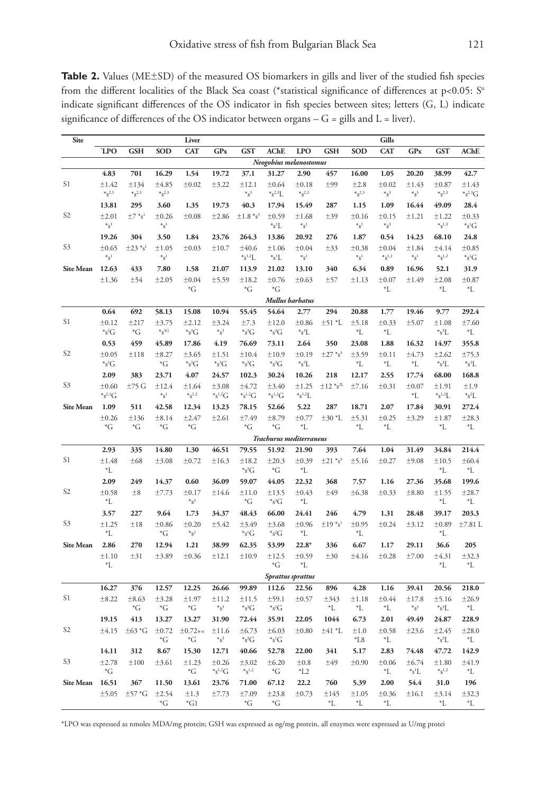Table 2. Values (ME±SD) of the measured OS biomarkers in gills and liver of the studied fish species from the different localities of the Black Sea coast (\*statistical significance of differences at  $p<0.05$ :  $S<sup>n</sup>$ indicate significant differences of the OS indicator in fish species between sites; letters (G, L) indicate significance of differences of the OS indicator between organs  $-$  G = gills and L = liver).

| Site                   |                          |                         |                                            | Liver                   |                         |                                |                         |                                                 |                          |                                                 | Gills                                        |                   |                                              |                                      |
|------------------------|--------------------------|-------------------------|--------------------------------------------|-------------------------|-------------------------|--------------------------------|-------------------------|-------------------------------------------------|--------------------------|-------------------------------------------------|----------------------------------------------|-------------------|----------------------------------------------|--------------------------------------|
|                        | <b>LPO</b>               | <b>GSH</b>              | SOD                                        | <b>CAT</b>              | GPx                     | <b>GST</b>                     | <b>AChE</b>             | <b>LPO</b>                                      | <b>GSH</b>               | SOD                                             | <b>CAT</b>                                   | <b>GPx</b>        | <b>GST</b>                                   | <b>AChE</b>                          |
| Neogobius melanostomus |                          |                         |                                            |                         |                         |                                |                         |                                                 |                          |                                                 |                                              |                   |                                              |                                      |
|                        | 4.83                     | 701                     | 16.29                                      | 1.54                    | 19.72                   | 37.1                           | 31.27                   | 2.90                                            | 457                      | 16.00                                           | 1.05                                         | 20.20             | 38.99                                        | 42.7                                 |
| S1                     | ±1.42<br>$*_{S^{2,3}}$   | ±134<br>$*_{S^{2,3}}$   | $\pm 4.85$<br>$*_{S^{2,3}}$                | $\pm 0.02$              | ±3.22                   | ±12.1<br>$*_s^3$               | ±0.64<br>$*_{s^{2,3}L}$ | $\pm 0.18$<br>$*_{S^{2,3}}$                     | ±99                      | ±2.8<br>$*_{S^{2,3}}$                           | $\pm 0.02$<br>$*_{S^3}$                      | ±1.43<br>$*_S^3$  | $\pm 0.87$<br>$*_{S^{2,3}}$                  | $\pm 1.43$<br>$*_{s^{2,3}G}$         |
|                        | 13.81                    | 295                     | 3.60                                       | 1.35                    | 19.73                   | 40.3                           | 17.94                   | 15.49                                           | 287                      | 1.15                                            | 1.09                                         | 16.44             | 49.09                                        | 28.4                                 |
| S <sub>2</sub>         | ±2.01<br>$*_{S}1$        | $\pm 7$ *s <sup>1</sup> | ±0.26<br>$*_{S}1$                          | $\pm 0.08$              | ±2.86                   | $\pm 1.8 *_{S}^3$              | ±0.59<br>${}^*s^1L$     | ±1.68<br>$*_{S}1$                               | ±39                      | ±0.16<br>$\ast_{S^1}$                           | ±0.15<br>$*_s^3$                             | ±1.21             | ±1.22<br>$*_{S}^{1,3}$                       | $\pm 0.33$<br>${}^*s^1G$             |
|                        | 19.26                    | 304                     | 3.50                                       | 1.84                    | 23.76                   | 264.3                          | 13.86                   | 20.92                                           | 276                      | 1.87                                            | 0.54                                         | 14.23             | 68.10                                        | 24.8                                 |
| S <sub>3</sub>         | ±0.65<br>$\ast_{S^1}$    | $\pm 23 *_{s}^{-1}$     | ±1.05<br>$\boldsymbol{*}_{\mathbb{S}^{1}}$ | $\pm 0.03$              | ±10.7                   | ±40.6<br>$\rm ^*s^{1,2}L$      | ±1.06<br>${}^*s^1L$     | $\pm 0.04$<br>$\boldsymbol{*}_{\mathbb{S}^{1}}$ | ±33                      | $\pm 0.38$<br>$\boldsymbol{*}_{\mathbb{S}^{1}}$ | ±0.04<br>$\boldsymbol{*}_{\mathbb{S}^{1,2}}$ | ±1.84<br>$*_s^1$  | ±4.14<br>$\boldsymbol{*}_{\mathbb{S}^{1,2}}$ | $\pm 0.85$<br>${}^*s^1G$             |
| <b>Site Mean</b>       | 12.63                    | 433                     | 7.80                                       | 1.58                    | 21.07                   | 113.9                          | 21.02                   | 13.10                                           | 340                      | 6.34                                            | 0.89                                         | 16.96             | 52.1                                         | 31.9                                 |
|                        | $\pm 1.36$               | ±54                     | ±2.05                                      | ±0.04<br>*G             | ±5.59                   | ±18.2<br>$\mathrm{^*G}$        | ±0.76<br>${}^*G$        | $\pm 0.63$                                      | ±57                      | ±1.13                                           | $\pm 0.07$<br>*L                             | ±1.49             | ±2.08<br>*L                                  | ±0.87<br>*L                          |
|                        | Mullus barbatus          |                         |                                            |                         |                         |                                |                         |                                                 |                          |                                                 |                                              |                   |                                              |                                      |
|                        | 0.64                     | 692                     | 58.13                                      | 15.08                   | 10.94                   | 55.45                          | 54.64                   | 2.77                                            | 294                      | 20.88                                           | 1.77                                         | 19.46             | 9.77                                         | 292.4                                |
| S1                     | ±0.12                    | ±217                    | ±3.75                                      | ±2.12                   | ±3.24                   | ±7.3                           | ±12.0                   | $\pm 0.86$                                      | $±51$ $*L$               | ±5.18                                           | ±0.33                                        | ±5.07             | ±1.08                                        | ±7.60                                |
|                        | $*_{s^3G}$               | $\mathrm{^*G}$          | $*_S^{3G}$                                 | $*_{s^3G}$              | $*_{S}^3$               | $*_{s^3G}$                     | $*_{s^3G}$              | $*_{s^3L}$                                      |                          | *L                                              | *L                                           |                   | $\ast$ s <sup>3</sup> L                      | *L                                   |
|                        | 0.53                     | 459                     | 45.89                                      | 17.86                   | 4.19                    | 76.69                          | 73.11                   | 2.64                                            | 350                      | 23.08                                           | 1.88                                         | 16.32             | 14.97                                        | 355.8                                |
| S <sub>2</sub>         | $\pm 0.05$<br>$*_{s^3G}$ | ±118                    | ±8.27<br>*G                                | ±3.65<br>$*_{s^3G}$     | ±1.51<br>$*_{s^3G}$     | ±10.4<br>$*_{s^3G}$            | ±10.9<br>$*_{s^3G}$     | ±0.19<br>$*_{s^3L}$                             | $±27$ $*$ s <sup>3</sup> | ±3.59<br>*L                                     | ±0.11<br>*L                                  | ±4.73<br>*L       | ±2.62<br>${}^*s^3L$                          | ±75.3<br>$*_{s^3L}$                  |
|                        | 2.09                     | 383                     | 23.71                                      | 4.07                    | 24.57                   | 102.3                          | 30.24                   | 10.26                                           | 218                      | 12.17                                           | 2.55                                         | 17.74             | 68.00                                        | 168.8                                |
| S <sub>3</sub>         | ±0.60<br>$*_{s^{2,3}G}$  | ±75G                    | ±12.4<br>$*_{S}1$                          | ±1.64<br>$*_{S}^{1,2}$  | ±3.08<br>$*_{s^{1,2}G}$ | ±4.72<br>$*_{S^{1,2}G}$        | ±3.40<br>$*_{s^{1,2}G}$ | ±1.25<br>$\rm ^{\ast}s^{1,2}L$                  | $±12 * s^{2L}$           | ±7.16                                           | $\pm 0.31$                                   | $\pm 0.07$<br>*L  | $\pm 1.91$<br>$*_{S}^{1,2}L$                 | $\pm 1.9$<br>$\ast$ s <sup>2</sup> L |
| <b>Site Mean</b>       | 1.09                     | 511                     | 42.58                                      | 12.34                   | 13.23                   | 78.15                          | 52.66                   | 5.22                                            | 287                      | 18.71                                           | 2.07                                         | 17.84             | 30.91                                        | 272.4                                |
|                        | ±0.26                    | ±136                    | $\pm 8.14$                                 | ±2.47                   | ±2.61                   | ±7.49                          | ±8.79                   | ±0.77                                           | $\pm 30$ *L              | ±5.31                                           | $\pm 0.25$                                   | ±3.29             | ±1.87                                        | ±28.3                                |
|                        | $^*G$                    | ${}^*G$                 | $^*G$                                      | ${}^*G$                 |                         | ${}^*G$                        | ${}^*G$                 | $^*$ L                                          |                          | *L                                              | *L                                           |                   | *L                                           | *L                                   |
|                        |                          |                         |                                            |                         |                         |                                | Trachurus mediterraneus |                                                 |                          |                                                 |                                              |                   |                                              |                                      |
|                        | 2.93                     | 335                     | 14.80                                      | 1.30                    | 46.51                   | 79.55                          | 51.92                   | 21.90                                           | 393                      | 7.64                                            | 1.04                                         | 31.49             | 34.84                                        | 214.4                                |
| S1                     | ±1.48<br>*L              | ±68                     | ±3.08                                      | $\pm 0.72$              | ±16.3                   | ±18.2<br>$*_{\mathcal{S}}^3 G$ | ±20.3<br>${}^*G$        | ±0.39<br>*L                                     | $\pm 21 *_{s}^{3}$       | ±5.16                                           | ±0.27                                        | ±9.08             | ±10.5<br>*L                                  | ±60.4<br>*L                          |
|                        | 2.09                     | 249                     | 14.37                                      | 0.60                    | 36.09                   | 59.07                          | 44.05                   | 22.32                                           | 368                      | 7.57                                            | 1.16                                         | 27.36             | 35.68                                        | 199.6                                |
| S <sub>2</sub>         | $\pm 0.58$<br>*L         | $\pm 8$                 | ±7.73                                      | ±0.17<br>$*_s^3$        | ±14.6                   | ±11.0<br>$^*G$                 | ±13.5<br>$*_{s^3G}$     | $\pm 0.43$<br>*L                                | ±49                      | ±6.38                                           | ±0.33                                        | $\pm 8.80$        | ±1.55<br>*L                                  | $\pm 28.7$<br>*L                     |
|                        | 3.57                     | 227                     | 9.64                                       | 1.73                    | 34.37                   | 48.43                          | 66.00                   | 24.41                                           | 246                      | 4.79                                            | 1.31                                         | 28.48             | 39.17                                        | 203.3                                |
| S3                     | ±1.25<br>*L              | ±18                     | ±0.86<br>*G                                | $\pm 0.20$<br>$*_s^2$   | ±5.42                   | ±3.49<br>$*_{s^1G}$            | ±3.68<br>$*_S^2G$       | $\pm 0.96$<br>*L                                | $±19$ *s <sup>1</sup>    | ±0.95<br>*L                                     | ±0.24                                        | ±3.12             | ±0.89<br>*L                                  | $±7.81$ L                            |
| <b>Site Mean</b>       | 2.86                     | 270                     | 12.94                                      | 1.21                    | 38.99                   | 62.35                          | 53.99                   | $22.8*$                                         | 336                      | 6.67                                            | 1.17                                         | 29.11             | 36.6                                         | 205                                  |
|                        | ±1.10<br>*L              | ±31                     | ±3.89                                      | ±0.36                   | ±12.1                   | ±10.9                          | ±12.5<br>*G             | ±0.59<br>*L                                     | ±30                      | ±4.16                                           | $\pm 0.28$                                   | ±7.00             | $\pm 4.31$<br>*L                             | ±32.3<br>*L                          |
|                        |                          |                         |                                            |                         |                         |                                |                         | Sprattus sprattus                               |                          |                                                 |                                              |                   |                                              |                                      |
|                        | 16.27                    | 376                     | 12.57                                      | 12.25                   | 26.66                   | 99.89                          | 112.6                   | 22.56                                           | 896                      | 4.28                                            | 1.16                                         | 39.41             | 20.56                                        | 218.0                                |
| S1                     | ±8.22                    | $\pm 8.63$<br>${}^*G$   | ±3.28<br>$\mathrm{^*G}$                    | ±1.97<br>*G             | ±11.2<br>$*_{S}^3$      | ±11.5<br>$*_{s^3G}$            | ±59.1<br>$*_S^2G$       | ±0.57                                           | ±343<br>*L               | ±1.18<br>*L                                     | $\pm 0.44$<br>*L                             | ±17.8<br>$*_s^3$  | ±5.16<br>$\ast$ s <sup>3</sup> L             | ±26.9<br>*L                          |
|                        | 19.15                    | 413                     | 13.27                                      | 13.27                   | 31.90                   | 72.44                          | 35.91                   | 22.05                                           | 1044                     | 6.73                                            | 2.01                                         | 49.49             | 24.87                                        | 228.9                                |
| S <sub>2</sub>         | ±4.15                    | $\pm 63*$ G             | ±0.72<br>$\mathrm{^*G}$                    | $\pm 0.72+=$<br>${}^*G$ | ±11.6<br>$*_s^3$        | ±6.73<br>$*_{\mathcal{S}}^3 G$ | ±6.03<br>${}^*s^1G$     | $\pm 0.80$                                      | $±41$ $*L$               | ±1.0<br>$*L8$                                   | ±0.58<br>*L                                  | ±23.6             | ±2.45<br>$\mathrm{Ks}^3L$                    | ±28.0<br>*L                          |
|                        | 14.11                    | 312                     | 8.67                                       | 15.30                   | 12.71                   | 40.66                          | 52.78                   | 22.00                                           | 341                      | 5.17                                            | 2.83                                         | 74.48             | 47.72                                        | 142.9                                |
| S <sub>3</sub>         | ±2.78<br>*G              | ±100                    | ±3.61                                      | $\pm 1.23$<br>*G        | ±0.26<br>$*_{s^{1,2}G}$ | $\pm 3.02$<br>$*_{S}^{1,2}$    | ±6.20<br>*G             | ±0.8<br>$*L2$                                   | ±49                      | ±0.90                                           | $\pm 0.06$<br>*L                             | ±6.74<br>$^*s^1L$ | ±1.80<br>$*_{S}^{1,2}$                       | ±41.9<br>*L                          |
| <b>Site Mean</b>       | 16.51                    | 367                     | 11.50                                      | 13.61                   | 23.76                   | 71.00                          | 67.12                   | 22.2                                            | 760                      | 5.39                                            | 2.00                                         | 54.4              | 31.0                                         | 196                                  |
|                        | ±5.05                    | $±57*G$                 | ±2.54<br>*G                                | $\pm 1.3$<br>${}^*G1$   | ±7.73                   | ±7.09<br>$\mathrm{G}^*$        | ±23.8<br>$\mathrm{^*G}$ | ±0.73                                           | ±145<br>*L               | ±1.05<br>*L                                     | ±0.36<br>*L                                  | ±16.1             | ±3.14<br>*L                                  | ±32.3<br>*L                          |

\*LPO was expressed as nmoles MDA/mg protein; GSH was expressed as ng/mg protein, all enzymes were expressed as U/mg protei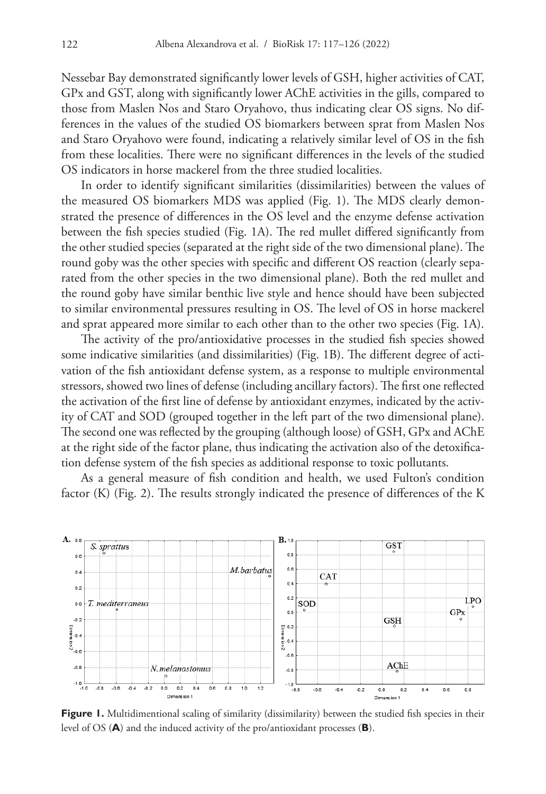Nessebar Bay demonstrated significantly lower levels of GSH, higher activities of CAT, GPx and GST, along with significantly lower AChE activities in the gills, compared to those from Maslen Nos and Staro Oryahovo, thus indicating clear OS signs. No differences in the values of the studied OS biomarkers between sprat from Maslen Nos and Staro Oryahovo were found, indicating a relatively similar level of OS in the fish from these localities. There were no significant differences in the levels of the studied OS indicators in horse mackerel from the three studied localities.

In order to identify significant similarities (dissimilarities) between the values of the measured OS biomarkers MDS was applied (Fig. 1). The MDS clearly demonstrated the presence of differences in the OS level and the enzyme defense activation between the fish species studied (Fig. 1A). The red mullet differed significantly from the other studied species (separated at the right side of the two dimensional plane). The round goby was the other species with specific and different OS reaction (clearly separated from the other species in the two dimensional plane). Both the red mullet and the round goby have similar benthic live style and hence should have been subjected to similar environmental pressures resulting in OS. The level of OS in horse mackerel and sprat appeared more similar to each other than to the other two species (Fig. 1A).

The activity of the pro/antioxidative processes in the studied fish species showed some indicative similarities (and dissimilarities) (Fig. 1B). The different degree of activation of the fish antioxidant defense system, as a response to multiple environmental stressors, showed two lines of defense (including ancillary factors). The first one reflected the activation of the first line of defense by antioxidant enzymes, indicated by the activity of CAT and SOD (grouped together in the left part of the two dimensional plane). The second one was reflected by the grouping (although loose) of GSH, GPx and AChE at the right side of the factor plane, thus indicating the activation also of the detoxification defense system of the fish species as additional response to toxic pollutants.

As a general measure of fish condition and health, we used Fulton's condition factor (K) (Fig. 2). The results strongly indicated the presence of differences of the K



Figure 1. Multidimentional scaling of similarity (dissimilarity) between the studied fish species in their level of OS (**A**) and the induced activity of the pro/antioxidant processes (**B**).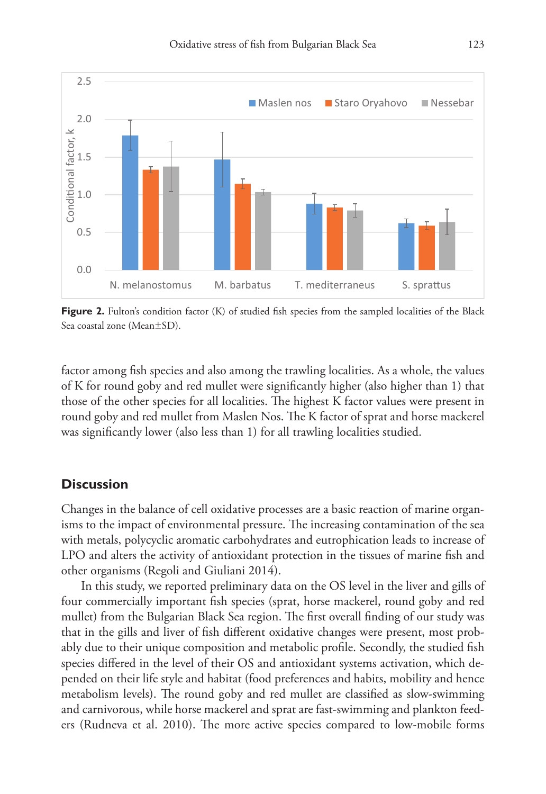

**Figure 2.** Fulton's condition factor (K) of studied fish species from the sampled localities of the Black Sea coastal zone (Mean±SD).

factor among fish species and also among the trawling localities. As a whole, the values of K for round goby and red mullet were significantly higher (also higher than 1) that those of the other species for all localities. The highest K factor values were present in round goby and red mullet from Maslen Nos. The K factor of sprat and horse mackerel was significantly lower (also less than 1) for all trawling localities studied.

## **Discussion**

Changes in the balance of cell oxidative processes are a basic reaction of marine organisms to the impact of environmental pressure. The increasing contamination of the sea with metals, polycyclic aromatic carbohydrates and eutrophication leads to increase of LPO and alters the activity of antioxidant protection in the tissues of marine fish and other organisms (Regoli and Giuliani 2014).

In this study, we reported preliminary data on the OS level in the liver and gills of four commercially important fish species (sprat, horse mackerel, round goby and red mullet) from the Bulgarian Black Sea region. The first overall finding of our study was that in the gills and liver of fish different oxidative changes were present, most probably due to their unique composition and metabolic profile. Secondly, the studied fish species differed in the level of their OS and antioxidant systems activation, which depended on their life style and habitat (food preferences and habits, mobility and hence metabolism levels). The round goby and red mullet are classified as slow-swimming and carnivorous, while horse mackerel and sprat are fast-swimming and plankton feeders (Rudneva et al. 2010). The more active species compared to low-mobile forms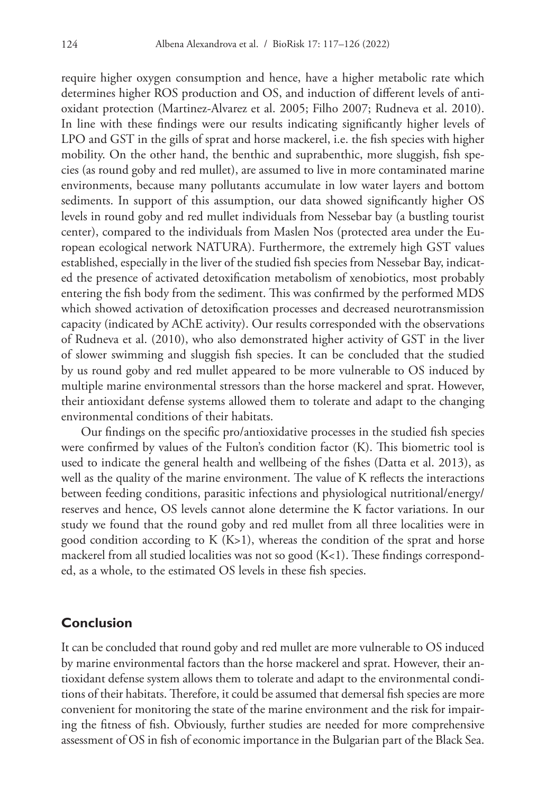require higher oxygen consumption and hence, have a higher metabolic rate which determines higher ROS production and OS, and induction of different levels of antioxidant protection (Martinez-Alvarez et al. 2005; Filho 2007; Rudneva et al. 2010). In line with these findings were our results indicating significantly higher levels of LPO and GST in the gills of sprat and horse mackerel, i.e. the fish species with higher mobility. On the other hand, the benthic and suprabenthic, more sluggish, fish species (as round goby and red mullet), are assumed to live in more contaminated marine environments, because many pollutants accumulate in low water layers and bottom sediments. In support of this assumption, our data showed significantly higher OS levels in round goby and red mullet individuals from Nessebar bay (a bustling tourist center), compared to the individuals from Maslen Nos (protected area under the European ecological network NATURA). Furthermore, the extremely high GST values established, especially in the liver of the studied fish species from Nessebar Bay, indicated the presence of activated detoxification metabolism of xenobiotics, most probably entering the fish body from the sediment. This was confirmed by the performed MDS which showed activation of detoxification processes and decreased neurotransmission capacity (indicated by AChE activity). Our results corresponded with the observations of Rudneva et al. (2010), who also demonstrated higher activity of GST in the liver of slower swimming and sluggish fish species. It can be concluded that the studied by us round goby and red mullet appeared to be more vulnerable to OS induced by multiple marine environmental stressors than the horse mackerel and sprat. However, their antioxidant defense systems allowed them to tolerate and adapt to the changing environmental conditions of their habitats.

Our findings on the specific pro/antioxidative processes in the studied fish species were confirmed by values of the Fulton's condition factor (K). This biometric tool is used to indicate the general health and wellbeing of the fishes (Datta et al. 2013), as well as the quality of the marine environment. The value of K reflects the interactions between feeding conditions, parasitic infections and physiological nutritional/energy/ reserves and hence, OS levels cannot alone determine the K factor variations. In our study we found that the round goby and red mullet from all three localities were in good condition according to  $K$  ( $K>1$ ), whereas the condition of the sprat and horse mackerel from all studied localities was not so good  $(K<1)$ . These findings corresponded, as a whole, to the estimated OS levels in these fish species.

## **Conclusion**

It can be concluded that round goby and red mullet are more vulnerable to OS induced by marine environmental factors than the horse mackerel and sprat. However, their antioxidant defense system allows them to tolerate and adapt to the environmental conditions of their habitats. Therefore, it could be assumed that demersal fish species are more convenient for monitoring the state of the marine environment and the risk for impairing the fitness of fish. Obviously, further studies are needed for more comprehensive assessment of OS in fish of economic importance in the Bulgarian part of the Black Sea.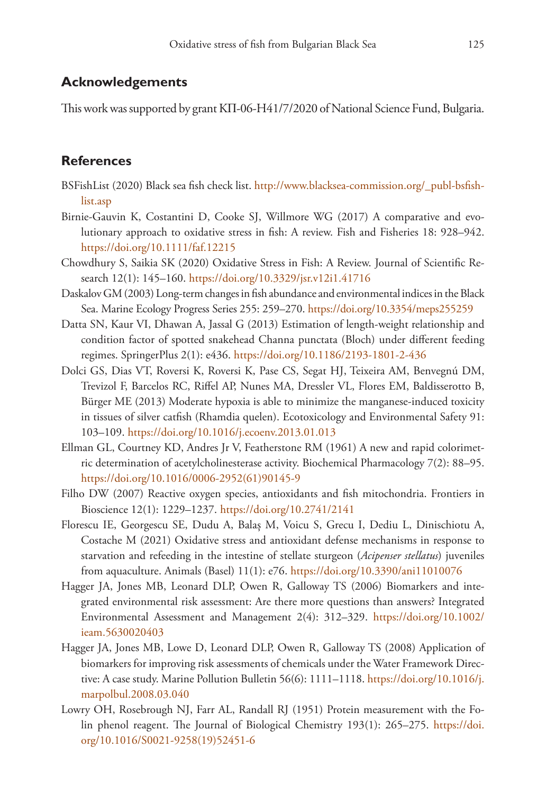# **Acknowledgements**

This work was supported by grant KП-06-H41/7/2020 of National Science Fund, Bulgaria.

# **References**

- BSFishList (2020) Black sea fish check list. [http://www.blacksea-commission.org/\\_publ-bsfish](http://www.blacksea-commission.org/_publ-bsfishlist.asp)[list.asp](http://www.blacksea-commission.org/_publ-bsfishlist.asp)
- Birnie-Gauvin K, Costantini D, Cooke SJ, Willmore WG (2017) A comparative and evolutionary approach to oxidative stress in fish: A review. Fish and Fisheries 18: 928–942. <https://doi.org/10.1111/faf.12215>
- Chowdhury S, Saikia SK (2020) Oxidative Stress in Fish: A Review. Journal of Scientific Research 12(1): 145–160. <https://doi.org/10.3329/jsr.v12i1.41716>
- Daskalov GM (2003) Long-term changes in fish abundance and environmental indices in the Black Sea. Marine Ecology Progress Series 255: 259–270. <https://doi.org/10.3354/meps255259>
- Datta SN, Kaur VI, Dhawan A, Jassal G (2013) Estimation of length-weight relationship and condition factor of spotted snakehead Channa punctata (Bloch) under different feeding regimes. SpringerPlus 2(1): e436.<https://doi.org/10.1186/2193-1801-2-436>
- Dolci GS, Dias VT, Roversi K, Roversi K, Pase CS, Segat HJ, Teixeira AM, Benvegnú DM, Trevizol F, Barcelos RC, Riffel AP, Nunes MA, Dressler VL, Flores EM, Baldisserotto B, Bürger ME (2013) Moderate hypoxia is able to minimize the manganese-induced toxicity in tissues of silver catfish (Rhamdia quelen). Ecotoxicology and Environmental Safety 91: 103–109.<https://doi.org/10.1016/j.ecoenv.2013.01.013>
- Ellman GL, Courtney KD, Andres Jr V, Featherstone RM (1961) A new and rapid colorimetric determination of acetylcholinesterase activity. Biochemical Pharmacology 7(2): 88–95. [https://doi.org/10.1016/0006-2952\(61\)90145-9](https://doi.org/10.1016/0006-2952(61)90145-9)
- Filho DW (2007) Reactive oxygen species, antioxidants and fish mitochondria. Frontiers in Bioscience 12(1): 1229–1237. <https://doi.org/10.2741/2141>
- Florescu IE, Georgescu SE, Dudu A, Balaș M, Voicu S, Grecu I, Dediu L, Dinischiotu A, Costache M (2021) Oxidative stress and antioxidant defense mechanisms in response to starvation and refeeding in the intestine of stellate sturgeon (*Acipenser stellatus*) juveniles from aquaculture. Animals (Basel) 11(1): e76.<https://doi.org/10.3390/ani11010076>
- Hagger JA, Jones MB, Leonard DLP, Owen R, Galloway TS (2006) Biomarkers and integrated environmental risk assessment: Are there more questions than answers? Integrated Environmental Assessment and Management 2(4): 312–329. [https://doi.org/10.1002/](https://doi.org/10.1002/ieam.5630020403) [ieam.5630020403](https://doi.org/10.1002/ieam.5630020403)
- Hagger JA, Jones MB, Lowe D, Leonard DLP, Owen R, Galloway TS (2008) Application of biomarkers for improving risk assessments of chemicals under the Water Framework Directive: A case study. Marine Pollution Bulletin  $56(6)$ : 1111–1118. [https://doi.org/10.1016/j.](https://doi.org/10.1016/j.marpolbul.2008.03.040) [marpolbul.2008.03.040](https://doi.org/10.1016/j.marpolbul.2008.03.040)
- Lowry OH, Rosebrough NJ, Farr AL, Randall RJ (1951) Protein measurement with the Folin phenol reagent. The Journal of Biological Chemistry 193(1): 265–275. [https://doi.](https://doi.org/10.1016/S0021-9258(19)52451-6) [org/10.1016/S0021-9258\(19\)52451-6](https://doi.org/10.1016/S0021-9258(19)52451-6)